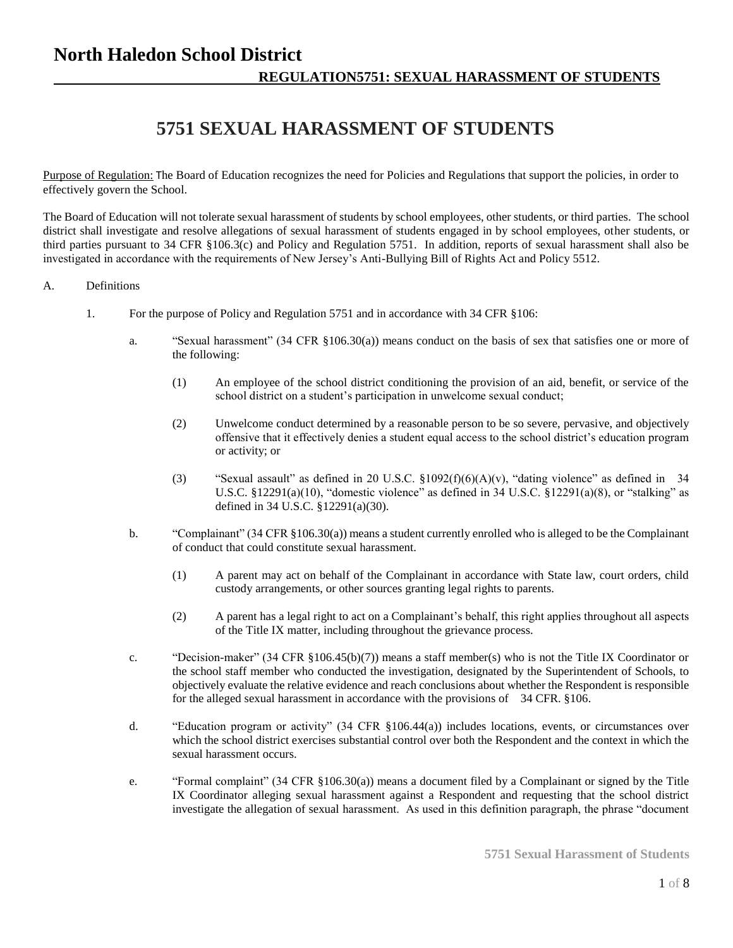# **5751 SEXUAL HARASSMENT OF STUDENTS**

Purpose of Regulation: The Board of Education recognizes the need for Policies and Regulations that support the policies, in order to effectively govern the School.

The Board of Education will not tolerate sexual harassment of students by school employees, other students, or third parties. The school district shall investigate and resolve allegations of sexual harassment of students engaged in by school employees, other students, or third parties pursuant to 34 CFR §106.3(c) and Policy and Regulation 5751. In addition, reports of sexual harassment shall also be investigated in accordance with the requirements of New Jersey's Anti-Bullying Bill of Rights Act and Policy 5512.

#### A. Definitions

- 1. For the purpose of Policy and Regulation 5751 and in accordance with 34 CFR §106:
	- a. "Sexual harassment" (34 CFR §106.30(a)) means conduct on the basis of sex that satisfies one or more of the following:
		- (1) An employee of the school district conditioning the provision of an aid, benefit, or service of the school district on a student's participation in unwelcome sexual conduct;
		- (2) Unwelcome conduct determined by a reasonable person to be so severe, pervasive, and objectively offensive that it effectively denies a student equal access to the school district's education program or activity; or
		- (3) "Sexual assault" as defined in 20 U.S.C.  $$1092(f)(6)(A)(v)$ , "dating violence" as defined in 34 U.S.C.  $§12291(a)(10)$ , "domestic violence" as defined in 34 U.S.C.  $§12291(a)(8)$ , or "stalking" as defined in 34 U.S.C. §12291(a)(30).
	- b. "Complainant" (34 CFR §106.30(a)) means a student currently enrolled who is alleged to be the Complainant of conduct that could constitute sexual harassment.
		- (1) A parent may act on behalf of the Complainant in accordance with State law, court orders, child custody arrangements, or other sources granting legal rights to parents.
		- (2) A parent has a legal right to act on a Complainant's behalf, this right applies throughout all aspects of the Title IX matter, including throughout the grievance process.
	- c. "Decision-maker" (34 CFR §106.45(b)(7)) means a staff member(s) who is not the Title IX Coordinator or the school staff member who conducted the investigation, designated by the Superintendent of Schools, to objectively evaluate the relative evidence and reach conclusions about whether the Respondent is responsible for the alleged sexual harassment in accordance with the provisions of 34 CFR. §106.
	- d. "Education program or activity" (34 CFR §106.44(a)) includes locations, events, or circumstances over which the school district exercises substantial control over both the Respondent and the context in which the sexual harassment occurs.
	- e. "Formal complaint" (34 CFR §106.30(a)) means a document filed by a Complainant or signed by the Title IX Coordinator alleging sexual harassment against a Respondent and requesting that the school district investigate the allegation of sexual harassment. As used in this definition paragraph, the phrase "document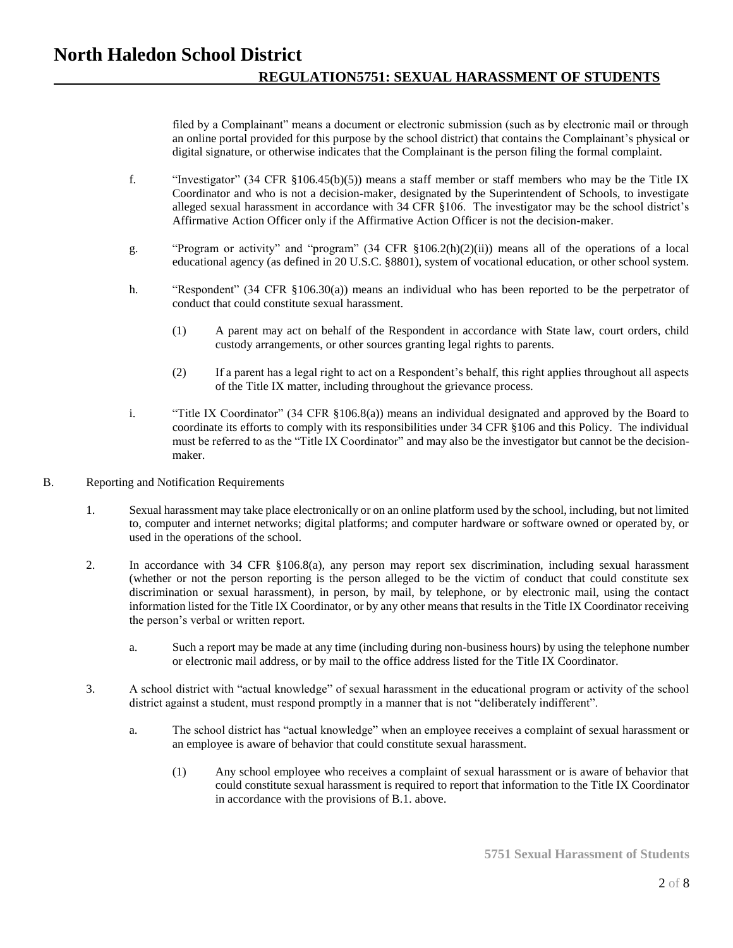filed by a Complainant" means a document or electronic submission (such as by electronic mail or through an online portal provided for this purpose by the school district) that contains the Complainant's physical or digital signature, or otherwise indicates that the Complainant is the person filing the formal complaint.

- f. "Investigator" (34 CFR §106.45(b)(5)) means a staff member or staff members who may be the Title IX Coordinator and who is not a decision-maker, designated by the Superintendent of Schools, to investigate alleged sexual harassment in accordance with 34 CFR §106. The investigator may be the school district's Affirmative Action Officer only if the Affirmative Action Officer is not the decision-maker.
- g. "Program or activity" and "program" (34 CFR §106.2(h)(2)(ii)) means all of the operations of a local educational agency (as defined in 20 U.S.C. §8801), system of vocational education, or other school system.
- h. "Respondent" (34 CFR §106.30(a)) means an individual who has been reported to be the perpetrator of conduct that could constitute sexual harassment.
	- (1) A parent may act on behalf of the Respondent in accordance with State law, court orders, child custody arrangements, or other sources granting legal rights to parents.
	- (2) If a parent has a legal right to act on a Respondent's behalf, this right applies throughout all aspects of the Title IX matter, including throughout the grievance process.
- i. "Title IX Coordinator" (34 CFR §106.8(a)) means an individual designated and approved by the Board to coordinate its efforts to comply with its responsibilities under 34 CFR §106 and this Policy. The individual must be referred to as the "Title IX Coordinator" and may also be the investigator but cannot be the decisionmaker.
- B. Reporting and Notification Requirements
	- 1. Sexual harassment may take place electronically or on an online platform used by the school, including, but not limited to, computer and internet networks; digital platforms; and computer hardware or software owned or operated by, or used in the operations of the school.
	- 2. In accordance with 34 CFR §106.8(a), any person may report sex discrimination, including sexual harassment (whether or not the person reporting is the person alleged to be the victim of conduct that could constitute sex discrimination or sexual harassment), in person, by mail, by telephone, or by electronic mail, using the contact information listed for the Title IX Coordinator, or by any other means that results in the Title IX Coordinator receiving the person's verbal or written report.
		- a. Such a report may be made at any time (including during non-business hours) by using the telephone number or electronic mail address, or by mail to the office address listed for the Title IX Coordinator.
	- 3. A school district with "actual knowledge" of sexual harassment in the educational program or activity of the school district against a student, must respond promptly in a manner that is not "deliberately indifferent".
		- a. The school district has "actual knowledge" when an employee receives a complaint of sexual harassment or an employee is aware of behavior that could constitute sexual harassment.
			- (1) Any school employee who receives a complaint of sexual harassment or is aware of behavior that could constitute sexual harassment is required to report that information to the Title IX Coordinator in accordance with the provisions of B.1. above.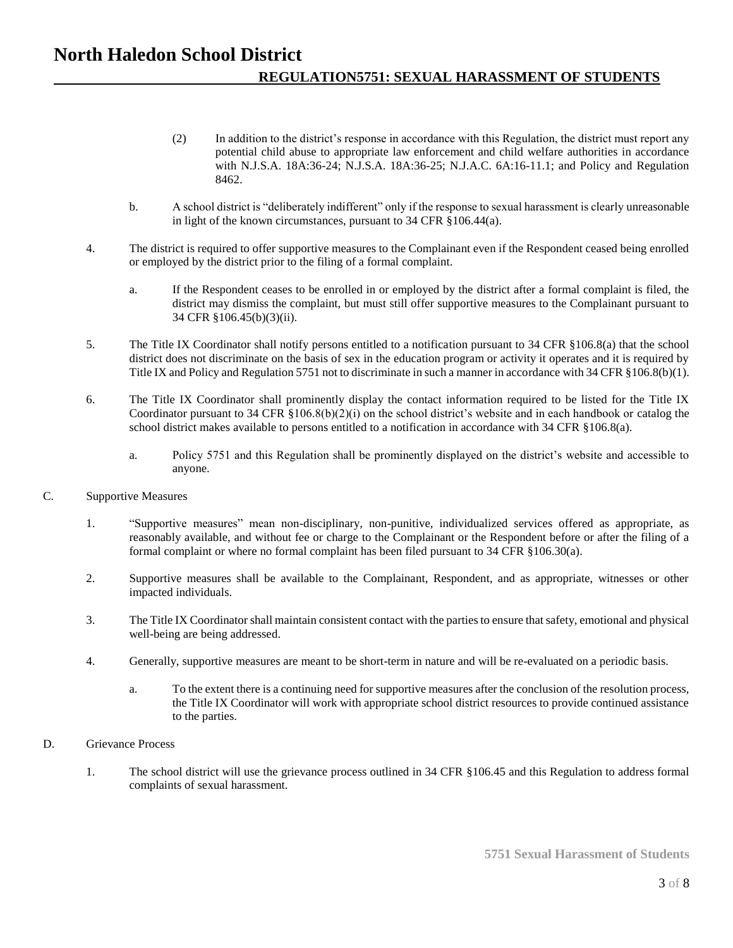- (2) In addition to the district's response in accordance with this Regulation, the district must report any potential child abuse to appropriate law enforcement and child welfare authorities in accordance with N.J.S.A. 18A:36-24; N.J.S.A. 18A:36-25; N.J.A.C. 6A:16-11.1; and Policy and Regulation 8462.
- b. A school district is "deliberately indifferent" only if the response to sexual harassment is clearly unreasonable in light of the known circumstances, pursuant to 34 CFR §106.44(a).
- 4. The district is required to offer supportive measures to the Complainant even if the Respondent ceased being enrolled or employed by the district prior to the filing of a formal complaint.
	- a. If the Respondent ceases to be enrolled in or employed by the district after a formal complaint is filed, the district may dismiss the complaint, but must still offer supportive measures to the Complainant pursuant to 34 CFR §106.45(b)(3)(ii).
- 5. The Title IX Coordinator shall notify persons entitled to a notification pursuant to 34 CFR §106.8(a) that the school district does not discriminate on the basis of sex in the education program or activity it operates and it is required by Title IX and Policy and Regulation 5751 not to discriminate in such a manner in accordance with 34 CFR §106.8(b)(1).
- 6. The Title IX Coordinator shall prominently display the contact information required to be listed for the Title IX Coordinator pursuant to 34 CFR  $\S106.8(b)(2)(i)$  on the school district's website and in each handbook or catalog the school district makes available to persons entitled to a notification in accordance with 34 CFR §106.8(a).
	- a. Policy 5751 and this Regulation shall be prominently displayed on the district's website and accessible to anyone.
- C. Supportive Measures
	- 1. "Supportive measures" mean non-disciplinary, non-punitive, individualized services offered as appropriate, as reasonably available, and without fee or charge to the Complainant or the Respondent before or after the filing of a formal complaint or where no formal complaint has been filed pursuant to 34 CFR §106.30(a).
	- 2. Supportive measures shall be available to the Complainant, Respondent, and as appropriate, witnesses or other impacted individuals.
	- 3. The Title IX Coordinator shall maintain consistent contact with the parties to ensure that safety, emotional and physical well-being are being addressed.
	- 4. Generally, supportive measures are meant to be short-term in nature and will be re-evaluated on a periodic basis.
		- a. To the extent there is a continuing need for supportive measures after the conclusion of the resolution process, the Title IX Coordinator will work with appropriate school district resources to provide continued assistance to the parties.
- D. Grievance Process
	- 1. The school district will use the grievance process outlined in 34 CFR §106.45 and this Regulation to address formal complaints of sexual harassment.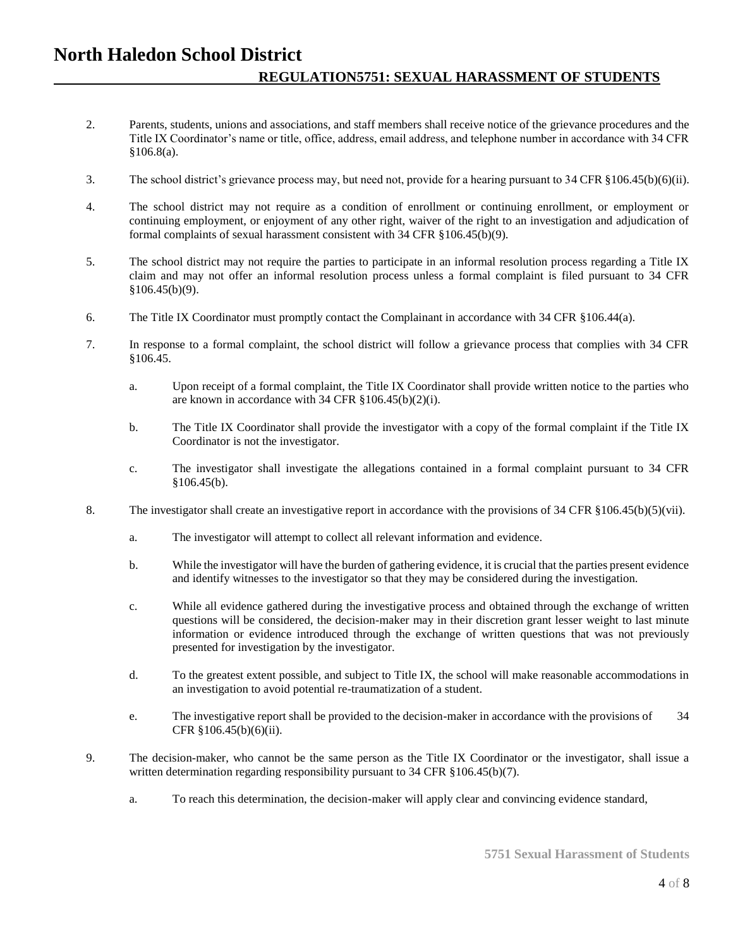- 2. Parents, students, unions and associations, and staff members shall receive notice of the grievance procedures and the Title IX Coordinator's name or title, office, address, email address, and telephone number in accordance with 34 CFR §106.8(a).
- 3. The school district's grievance process may, but need not, provide for a hearing pursuant to 34 CFR §106.45(b)(6)(ii).
- 4. The school district may not require as a condition of enrollment or continuing enrollment, or employment or continuing employment, or enjoyment of any other right, waiver of the right to an investigation and adjudication of formal complaints of sexual harassment consistent with 34 CFR §106.45(b)(9).
- 5. The school district may not require the parties to participate in an informal resolution process regarding a Title IX claim and may not offer an informal resolution process unless a formal complaint is filed pursuant to 34 CFR  $$106.45(b)(9)$ .
- 6. The Title IX Coordinator must promptly contact the Complainant in accordance with 34 CFR §106.44(a).
- 7. In response to a formal complaint, the school district will follow a grievance process that complies with 34 CFR §106.45.
	- a. Upon receipt of a formal complaint, the Title IX Coordinator shall provide written notice to the parties who are known in accordance with 34 CFR §106.45(b)(2)(i).
	- b. The Title IX Coordinator shall provide the investigator with a copy of the formal complaint if the Title IX Coordinator is not the investigator.
	- c. The investigator shall investigate the allegations contained in a formal complaint pursuant to 34 CFR §106.45(b).
- 8. The investigator shall create an investigative report in accordance with the provisions of 34 CFR §106.45(b)(5)(vii).
	- a. The investigator will attempt to collect all relevant information and evidence.
	- b. While the investigator will have the burden of gathering evidence, it is crucial that the parties present evidence and identify witnesses to the investigator so that they may be considered during the investigation.
	- c. While all evidence gathered during the investigative process and obtained through the exchange of written questions will be considered, the decision-maker may in their discretion grant lesser weight to last minute information or evidence introduced through the exchange of written questions that was not previously presented for investigation by the investigator.
	- d. To the greatest extent possible, and subject to Title IX, the school will make reasonable accommodations in an investigation to avoid potential re-traumatization of a student.
	- e. The investigative report shall be provided to the decision-maker in accordance with the provisions of 34 CFR §106.45(b)(6)(ii).
- 9. The decision-maker, who cannot be the same person as the Title IX Coordinator or the investigator, shall issue a written determination regarding responsibility pursuant to 34 CFR §106.45(b)(7).
	- a. To reach this determination, the decision-maker will apply clear and convincing evidence standard,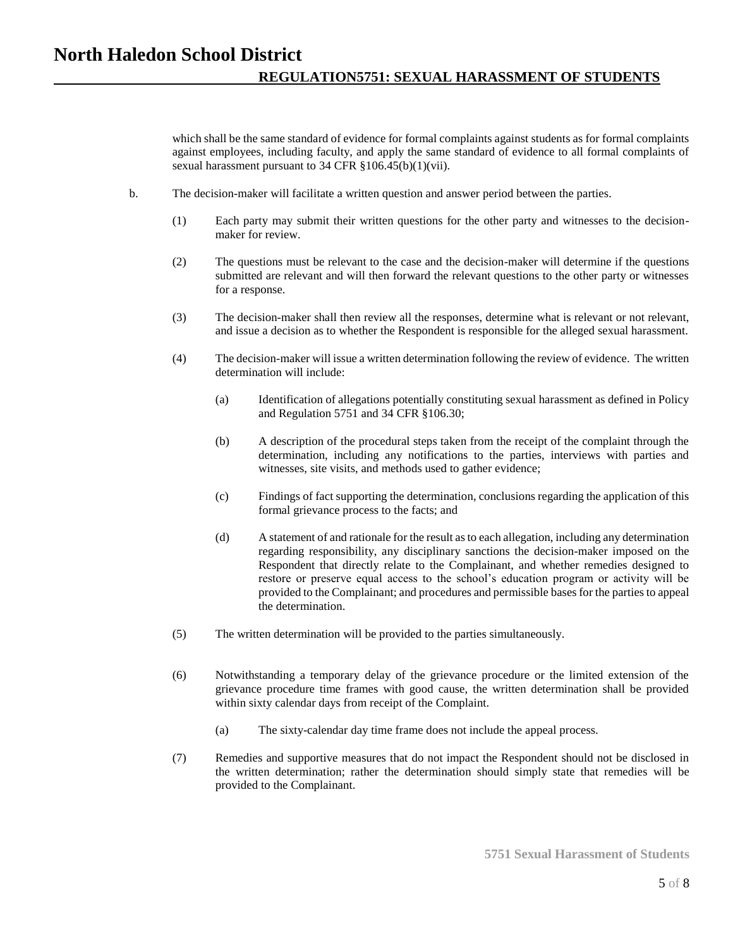which shall be the same standard of evidence for formal complaints against students as for formal complaints against employees, including faculty, and apply the same standard of evidence to all formal complaints of sexual harassment pursuant to 34 CFR §106.45(b)(1)(vii).

- b. The decision-maker will facilitate a written question and answer period between the parties.
	- (1) Each party may submit their written questions for the other party and witnesses to the decisionmaker for review.
	- (2) The questions must be relevant to the case and the decision-maker will determine if the questions submitted are relevant and will then forward the relevant questions to the other party or witnesses for a response.
	- (3) The decision-maker shall then review all the responses, determine what is relevant or not relevant, and issue a decision as to whether the Respondent is responsible for the alleged sexual harassment.
	- (4) The decision-maker will issue a written determination following the review of evidence. The written determination will include:
		- (a) Identification of allegations potentially constituting sexual harassment as defined in Policy and Regulation 5751 and 34 CFR §106.30;
		- (b) A description of the procedural steps taken from the receipt of the complaint through the determination, including any notifications to the parties, interviews with parties and witnesses, site visits, and methods used to gather evidence;
		- (c) Findings of fact supporting the determination, conclusions regarding the application of this formal grievance process to the facts; and
		- (d) A statement of and rationale for the result as to each allegation, including any determination regarding responsibility, any disciplinary sanctions the decision-maker imposed on the Respondent that directly relate to the Complainant, and whether remedies designed to restore or preserve equal access to the school's education program or activity will be provided to the Complainant; and procedures and permissible bases for the parties to appeal the determination.
	- (5) The written determination will be provided to the parties simultaneously.
	- (6) Notwithstanding a temporary delay of the grievance procedure or the limited extension of the grievance procedure time frames with good cause, the written determination shall be provided within sixty calendar days from receipt of the Complaint.
		- (a) The sixty-calendar day time frame does not include the appeal process.
	- (7) Remedies and supportive measures that do not impact the Respondent should not be disclosed in the written determination; rather the determination should simply state that remedies will be provided to the Complainant.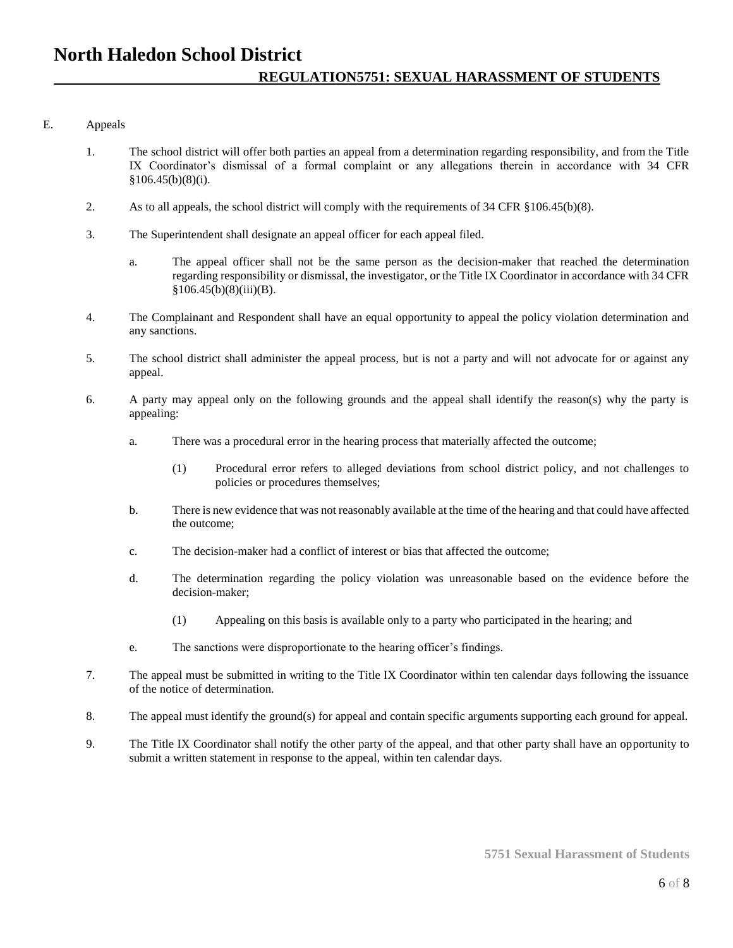### E. Appeals

- 1. The school district will offer both parties an appeal from a determination regarding responsibility, and from the Title IX Coordinator's dismissal of a formal complaint or any allegations therein in accordance with 34 CFR  $§106.45(b)(8)(i).$
- 2. As to all appeals, the school district will comply with the requirements of 34 CFR §106.45(b)(8).
- 3. The Superintendent shall designate an appeal officer for each appeal filed.
	- a. The appeal officer shall not be the same person as the decision-maker that reached the determination regarding responsibility or dismissal, the investigator, or the Title IX Coordinator in accordance with 34 CFR  $§106.45(b)(8)(iii)(B).$
- 4. The Complainant and Respondent shall have an equal opportunity to appeal the policy violation determination and any sanctions.
- 5. The school district shall administer the appeal process, but is not a party and will not advocate for or against any appeal.
- 6. A party may appeal only on the following grounds and the appeal shall identify the reason(s) why the party is appealing:
	- a. There was a procedural error in the hearing process that materially affected the outcome;
		- (1) Procedural error refers to alleged deviations from school district policy, and not challenges to policies or procedures themselves;
	- b. There is new evidence that was not reasonably available at the time of the hearing and that could have affected the outcome;
	- c. The decision-maker had a conflict of interest or bias that affected the outcome;
	- d. The determination regarding the policy violation was unreasonable based on the evidence before the decision-maker;
		- (1) Appealing on this basis is available only to a party who participated in the hearing; and
	- e. The sanctions were disproportionate to the hearing officer's findings.
- 7. The appeal must be submitted in writing to the Title IX Coordinator within ten calendar days following the issuance of the notice of determination.
- 8. The appeal must identify the ground(s) for appeal and contain specific arguments supporting each ground for appeal.
- 9. The Title IX Coordinator shall notify the other party of the appeal, and that other party shall have an opportunity to submit a written statement in response to the appeal, within ten calendar days.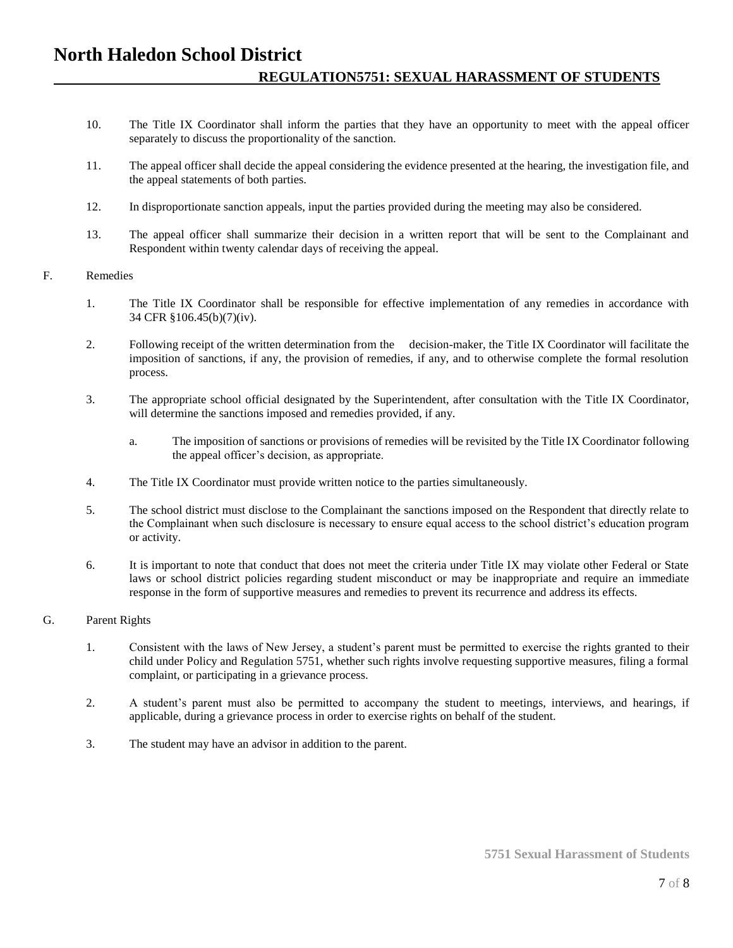- 10. The Title IX Coordinator shall inform the parties that they have an opportunity to meet with the appeal officer separately to discuss the proportionality of the sanction.
- 11. The appeal officer shall decide the appeal considering the evidence presented at the hearing, the investigation file, and the appeal statements of both parties.
- 12. In disproportionate sanction appeals, input the parties provided during the meeting may also be considered.
- 13. The appeal officer shall summarize their decision in a written report that will be sent to the Complainant and Respondent within twenty calendar days of receiving the appeal.

#### F. Remedies

- 1. The Title IX Coordinator shall be responsible for effective implementation of any remedies in accordance with 34 CFR §106.45(b)(7)(iv).
- 2. Following receipt of the written determination from the decision-maker, the Title IX Coordinator will facilitate the imposition of sanctions, if any, the provision of remedies, if any, and to otherwise complete the formal resolution process.
- 3. The appropriate school official designated by the Superintendent, after consultation with the Title IX Coordinator, will determine the sanctions imposed and remedies provided, if any.
	- a. The imposition of sanctions or provisions of remedies will be revisited by the Title IX Coordinator following the appeal officer's decision, as appropriate.
- 4. The Title IX Coordinator must provide written notice to the parties simultaneously.
- 5. The school district must disclose to the Complainant the sanctions imposed on the Respondent that directly relate to the Complainant when such disclosure is necessary to ensure equal access to the school district's education program or activity.
- 6. It is important to note that conduct that does not meet the criteria under Title IX may violate other Federal or State laws or school district policies regarding student misconduct or may be inappropriate and require an immediate response in the form of supportive measures and remedies to prevent its recurrence and address its effects.

#### G. Parent Rights

- 1. Consistent with the laws of New Jersey, a student's parent must be permitted to exercise the rights granted to their child under Policy and Regulation 5751, whether such rights involve requesting supportive measures, filing a formal complaint, or participating in a grievance process.
- 2. A student's parent must also be permitted to accompany the student to meetings, interviews, and hearings, if applicable, during a grievance process in order to exercise rights on behalf of the student.
- 3. The student may have an advisor in addition to the parent.